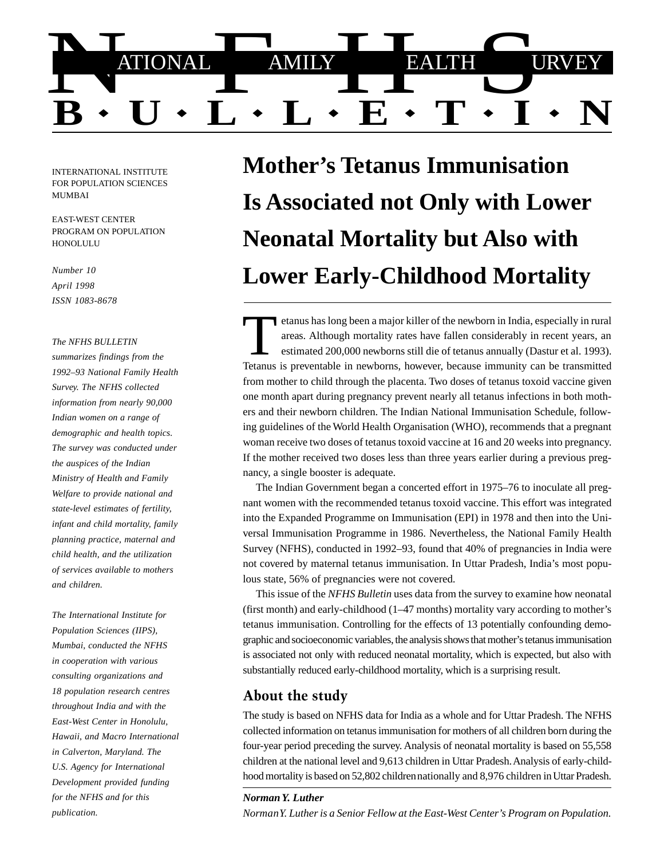

INTERNATIONAL INSTITUTE FOR POPULATION SCIENCES MUMBAI

EAST-WEST CENTER PROGRAM ON POPULATION **HONOLULU** 

*Number 10 April 1998 ISSN 1083-8678*

#### *The NFHS BULLETIN*

*summarizes findings from the 1992–93 National Family Health Survey. The NFHS collected information from nearly 90,000 Indian women on a range of demographic and health topics. The survey was conducted under the auspices of the Indian Ministry of Health and Family Welfare to provide national and state-level estimates of fertility, infant and child mortality, family planning practice, maternal and child health, and the utilization of services available to mothers and children.*

*The International Institute for Population Sciences (IIPS), Mumbai, conducted the NFHS in cooperation with various consulting organizations and 18 population research centres throughout India and with the East-West Center in Honolulu, Hawaii, and Macro International in Calverton, Maryland. The U.S. Agency for International Development provided funding for the NFHS and for this publication.*

# **Mother's Tetanus Immunisation Is Associated not Only with Lower Neonatal Mortality but Also with Lower Early-Childhood Mortality**

etanus has long been a major killer of the newborn in India, especially in rural<br>areas. Although mortality rates have fallen considerably in recent years, an<br>estimated 200,000 newborns still die of tetanus annually (Dastur Tetanus is preventable in newborns, however, because immunity can be transmitted from mother to child through the placenta. Two doses of tetanus toxoid vaccine given one month apart during pregnancy prevent nearly all tetanus infections in both mothers and their newborn children. The Indian National Immunisation Schedule, following guidelines of the World Health Organisation (WHO), recommends that a pregnant woman receive two doses of tetanus toxoid vaccine at 16 and 20 weeks into pregnancy. If the mother received two doses less than three years earlier during a previous pregnancy, a single booster is adequate.

The Indian Government began a concerted effort in 1975–76 to inoculate all pregnant women with the recommended tetanus toxoid vaccine. This effort was integrated into the Expanded Programme on Immunisation (EPI) in 1978 and then into the Universal Immunisation Programme in 1986. Nevertheless, the National Family Health Survey (NFHS), conducted in 1992–93, found that 40% of pregnancies in India were not covered by maternal tetanus immunisation. In Uttar Pradesh, India's most populous state, 56% of pregnancies were not covered.

This issue of the *NFHS Bulletin* uses data from the survey to examine how neonatal (first month) and early-childhood (1–47 months) mortality vary according to mother's tetanus immunisation. Controlling for the effects of 13 potentially confounding demographic and socioeconomic variables, the analysis shows that mother's tetanus immunisation is associated not only with reduced neonatal mortality, which is expected, but also with substantially reduced early-childhood mortality, which is a surprising result.

## About the study

The study is based on NFHS data for India as a whole and for Uttar Pradesh. The NFHS collected information on tetanus immunisation for mothers of all children born during the four-year period preceding the survey. Analysis of neonatal mortality is based on 55,558 children at the national level and 9,613 children in Uttar Pradesh. Analysis of early-childhood mortality is based on 52,802 children nationally and 8,976 children in Uttar Pradesh.

#### *Norman Y. Luther*

*Norman Y. Luther is a Senior Fellow at the East-West Center's Program on Population.*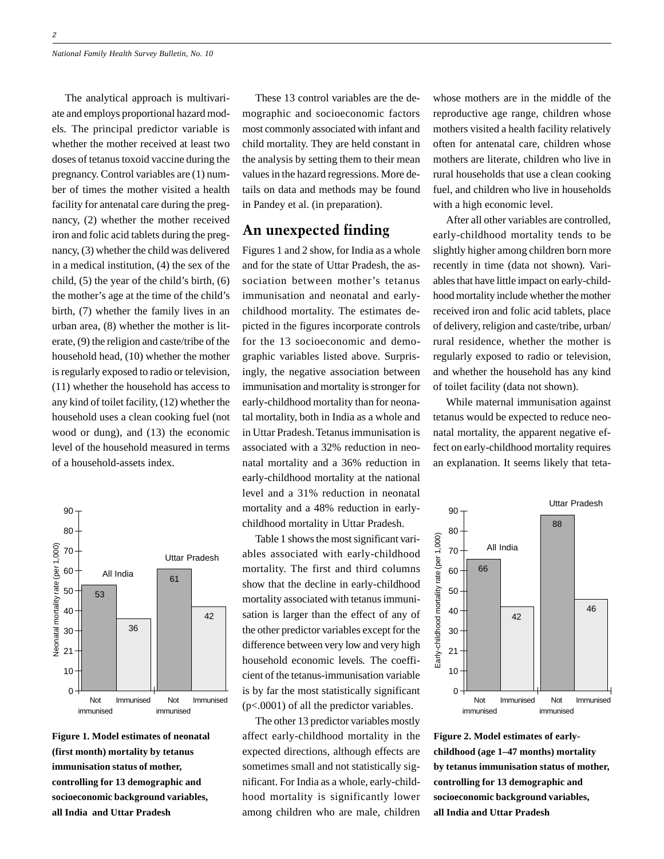The analytical approach is multivariate and employs proportional hazard models. The principal predictor variable is whether the mother received at least two doses of tetanus toxoid vaccine during the pregnancy. Control variables are (1) number of times the mother visited a health facility for antenatal care during the pregnancy, (2) whether the mother received iron and folic acid tablets during the pregnancy, (3) whether the child was delivered in a medical institution, (4) the sex of the child, (5) the year of the child's birth, (6) the mother's age at the time of the child's birth, (7) whether the family lives in an urban area, (8) whether the mother is literate, (9) the religion and caste/tribe of the household head, (10) whether the mother is regularly exposed to radio or television, (11) whether the household has access to any kind of toilet facility, (12) whether the household uses a clean cooking fuel (not wood or dung), and (13) the economic level of the household measured in terms of a household-assets index.



**Figure 1. Model estimates of neonatal (first month) mortality by tetanus immunisation status of mother, controlling for 13 demographic and socioeconomic background variables, all India and Uttar Pradesh**

These 13 control variables are the demographic and socioeconomic factors most commonly associated with infant and child mortality. They are held constant in the analysis by setting them to their mean values in the hazard regressions. More details on data and methods may be found in Pandey et al. (in preparation).

## An unexpected finding

Figures 1 and 2 show, for India as a whole and for the state of Uttar Pradesh, the association between mother's tetanus immunisation and neonatal and earlychildhood mortality. The estimates depicted in the figures incorporate controls for the 13 socioeconomic and demographic variables listed above. Surprisingly, the negative association between immunisation and mortality is stronger for early-childhood mortality than for neonatal mortality, both in India as a whole and in Uttar Pradesh. Tetanus immunisation is associated with a 32% reduction in neonatal mortality and a 36% reduction in early-childhood mortality at the national level and a 31% reduction in neonatal mortality and a 48% reduction in earlychildhood mortality in Uttar Pradesh.

Table 1 shows the most significant variables associated with early-childhood mortality. The first and third columns show that the decline in early-childhood mortality associated with tetanus immunisation is larger than the effect of any of the other predictor variables except for the difference between very low and very high household economic levels. The coefficient of the tetanus-immunisation variable is by far the most statistically significant (p<.0001) of all the predictor variables.

The other 13 predictor variables mostly affect early-childhood mortality in the expected directions, although effects are sometimes small and not statistically significant. For India as a whole, early-childhood mortality is significantly lower among children who are male, children

whose mothers are in the middle of the reproductive age range, children whose mothers visited a health facility relatively often for antenatal care, children whose mothers are literate, children who live in rural households that use a clean cooking fuel, and children who live in households with a high economic level.

After all other variables are controlled, early-childhood mortality tends to be slightly higher among children born more recently in time (data not shown). Variables that have little impact on early-childhood mortality include whether the mother received iron and folic acid tablets, place of delivery, religion and caste/tribe, urban/ rural residence, whether the mother is regularly exposed to radio or television, and whether the household has any kind of toilet facility (data not shown).

While maternal immunisation against tetanus would be expected to reduce neonatal mortality, the apparent negative effect on early-childhood mortality requires an explanation. It seems likely that teta-



**Figure 2. Model estimates of earlychildhood (age 1–47 months) mortality by tetanus immunisation status of mother, controlling for 13 demographic and socioeconomic background variables, all India and Uttar Pradesh**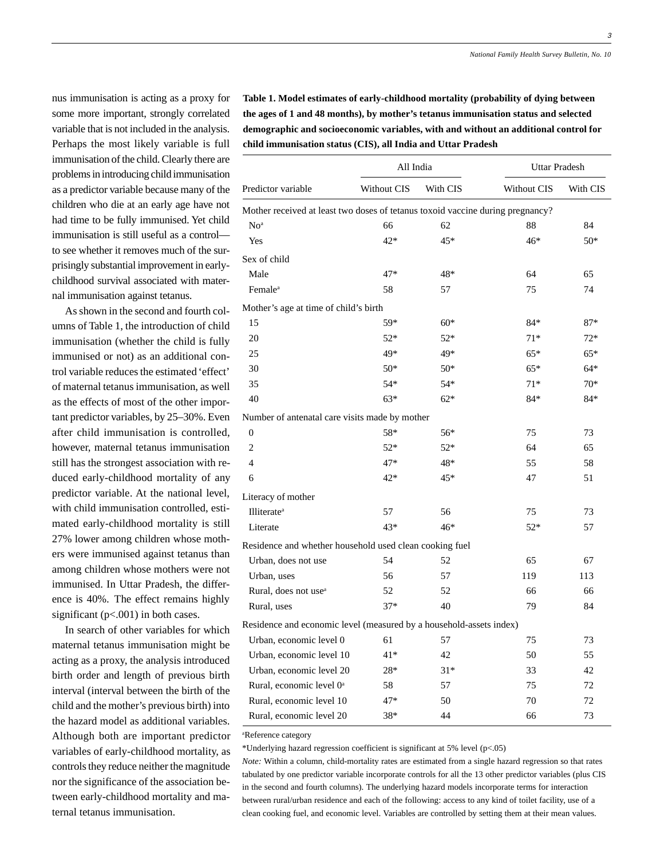3

nus immunisation is acting as a proxy for some more important, strongly correlated variable that is not included in the analysis. Perhaps the most likely variable is full immunisation of the child. Clearly there are problems in introducing child immunisation as a predictor variable because many of the children who die at an early age have not had time to be fully immunised. Yet child immunisation is still useful as a control to see whether it removes much of the surprisingly substantial improvement in earlychildhood survival associated with maternal immunisation against tetanus.

As shown in the second and fourth columns of Table 1, the introduction of child immunisation (whether the child is fully immunised or not) as an additional control variable reduces the estimated 'effect' of maternal tetanus immunisation, as well as the effects of most of the other important predictor variables, by 25–30%. Even after child immunisation is controlled, however, maternal tetanus immunisation still has the strongest association with reduced early-childhood mortality of any predictor variable. At the national level, with child immunisation controlled, estimated early-childhood mortality is still 27% lower among children whose mothers were immunised against tetanus than among children whose mothers were not immunised. In Uttar Pradesh, the difference is 40%. The effect remains highly significant (p<.001) in both cases.

In search of other variables for which maternal tetanus immunisation might be acting as a proxy, the analysis introduced birth order and length of previous birth interval (interval between the birth of the child and the mother's previous birth) into the hazard model as additional variables. Although both are important predictor variables of early-childhood mortality, as controls they reduce neither the magnitude nor the significance of the association between early-childhood mortality and maternal tetanus immunisation.

**Table 1. Model estimates of early-childhood mortality (probability of dying between the ages of 1 and 48 months), by mother's tetanus immunisation status and selected demographic and socioeconomic variables, with and without an additional control for child immunisation status (CIS), all India and Uttar Pradesh**

|                                                                                | All India   |          | Uttar Pradesh |          |
|--------------------------------------------------------------------------------|-------------|----------|---------------|----------|
| Predictor variable                                                             | Without CIS | With CIS | Without CIS   | With CIS |
| Mother received at least two doses of tetanus toxoid vaccine during pregnancy? |             |          |               |          |
| No <sup>a</sup>                                                                | 66          | 62       | 88            | 84       |
| Yes                                                                            | $42*$       | 45*      | 46*           | $50*$    |
| Sex of child                                                                   |             |          |               |          |
| Male                                                                           | 47*         | 48*      | 64            | 65       |
| Female <sup>a</sup>                                                            | 58          | 57       | 75            | 74       |
| Mother's age at time of child's birth                                          |             |          |               |          |
| 15                                                                             | 59*         | $60*$    | $84*$         | $87*$    |
| 20                                                                             | $52*$       | $52*$    | $71*$         | 72*      |
| 25                                                                             | 49*         | 49*      | $65*$         | $65*$    |
| 30                                                                             | $50*$       | $50*$    | $65*$         | $64*$    |
| 35                                                                             | $54*$       | 54*      | $71*$         | $70*$    |
| 40                                                                             | $63*$       | $62*$    | 84*           | $84*$    |
| Number of antenatal care visits made by mother                                 |             |          |               |          |
| $\boldsymbol{0}$                                                               | 58*         | 56*      | 75            | 73       |
| $\overline{c}$                                                                 | $52*$       | $52*$    | 64            | 65       |
| 4                                                                              | 47*         | 48*      | 55            | 58       |
| 6                                                                              | 42*         | 45*      | 47            | 51       |
| Literacy of mother                                                             |             |          |               |          |
| Illiterate <sup>a</sup>                                                        | 57          | 56       | 75            | 73       |
| Literate                                                                       | $43*$       | $46*$    | $52*$         | 57       |
| Residence and whether household used clean cooking fuel                        |             |          |               |          |
| Urban, does not use                                                            | 54          | 52       | 65            | 67       |
| Urban, uses                                                                    | 56          | 57       | 119           | 113      |
| Rural, does not use <sup>a</sup>                                               | 52          | 52       | 66            | 66       |
| Rural, uses                                                                    | $37*$       | 40       | 79            | 84       |
| Residence and economic level (measured by a household-assets index)            |             |          |               |          |
| Urban, economic level 0                                                        | 61          | 57       | 75            | 73       |
| Urban, economic level 10                                                       | 41*         | 42       | 50            | 55       |
| Urban, economic level 20                                                       | $28*$       | $31*$    | 33            | 42       |
| Rural, economic level 0 <sup>a</sup>                                           | 58          | 57       | 75            | 72       |
| Rural, economic level 10                                                       | $47*$       | 50       | 70            | 72       |
| Rural, economic level 20                                                       | 38*         | 44       | 66            | 73       |

a Reference category

\*Underlying hazard regression coefficient is significant at 5% level (p<.05)

*Note:* Within a column, child-mortality rates are estimated from a single hazard regression so that rates tabulated by one predictor variable incorporate controls for all the 13 other predictor variables (plus CIS in the second and fourth columns). The underlying hazard models incorporate terms for interaction between rural/urban residence and each of the following: access to any kind of toilet facility, use of a clean cooking fuel, and economic level. Variables are controlled by setting them at their mean values.